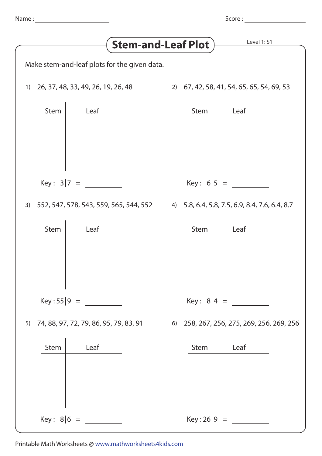